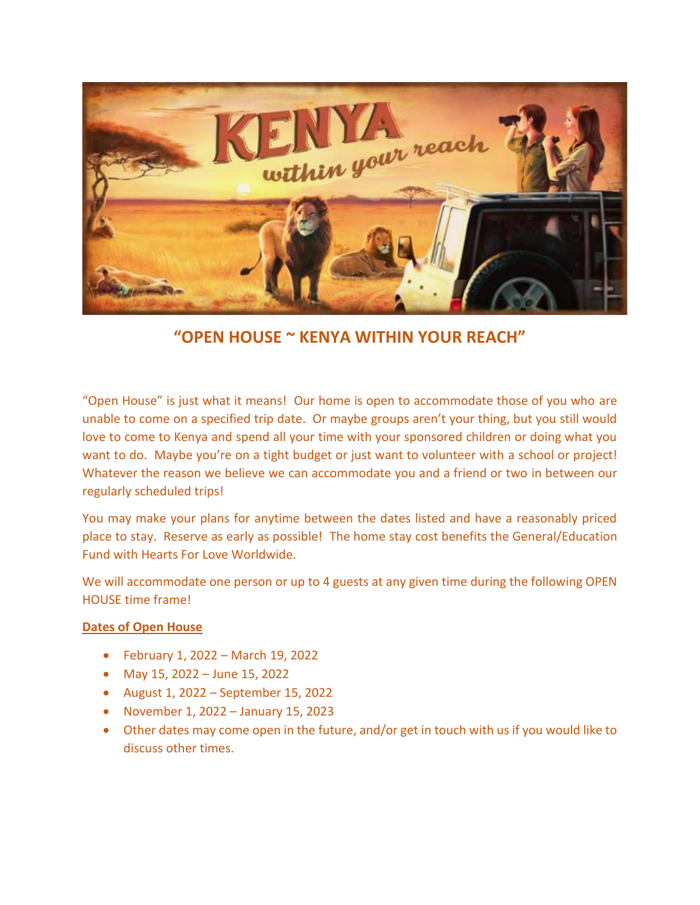

**"OPEN HOUSE ~ KENYA WITHIN YOUR REACH"**

"Open House" is just what it means! Our home is open to accommodate those of you who are unable to come on a specified trip date. Or maybe groups aren't your thing, but you still would love to come to Kenya and spend all your time with your sponsored children or doing what you want to do. Maybe you're on a tight budget or just want to volunteer with a school or project! Whatever the reason we believe we can accommodate you and a friend or two in between our regularly scheduled trips!

You may make your plans for anytime between the dates listed and have a reasonably priced place to stay. Reserve as early as possible! The home stay cost benefits the General/Education Fund with Hearts For Love Worldwide.

We will accommodate one person or up to 4 guests at any given time during the following OPEN HOUSE time frame!

## **Dates of Open House**

- February 1, 2022 March 19, 2022
- May 15, 2022 June 15, 2022
- August 1, 2022 September 15, 2022
- November 1, 2022 January 15, 2023
- Other dates may come open in the future, and/or get in touch with us if you would like to discuss other times.